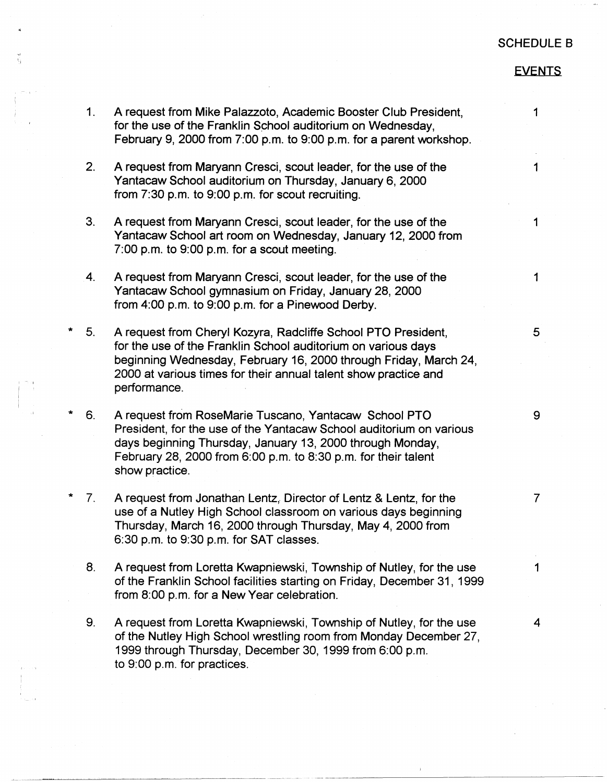## SCHEDULE 8

## EVENTS

|         | 1 <sub>1</sub> | A request from Mike Palazzoto, Academic Booster Club President,<br>for the use of the Franklin School auditorium on Wednesday,<br>February 9, 2000 from 7:00 p.m. to 9:00 p.m. for a parent workshop.                                                                                 | 1              |
|---------|----------------|---------------------------------------------------------------------------------------------------------------------------------------------------------------------------------------------------------------------------------------------------------------------------------------|----------------|
|         | 2.             | A request from Maryann Cresci, scout leader, for the use of the<br>Yantacaw School auditorium on Thursday, January 6, 2000<br>from 7:30 p.m. to 9:00 p.m. for scout recruiting.                                                                                                       | 1              |
|         | 3.             | A request from Maryann Cresci, scout leader, for the use of the<br>Yantacaw School art room on Wednesday, January 12, 2000 from<br>7:00 p.m. to 9:00 p.m. for a scout meeting.                                                                                                        | 1              |
|         | 4.             | A request from Maryann Cresci, scout leader, for the use of the<br>Yantacaw School gymnasium on Friday, January 28, 2000<br>from 4:00 p.m. to 9:00 p.m. for a Pinewood Derby.                                                                                                         | $\mathbf 1$    |
| $\star$ | 5 <sub>1</sub> | A request from Cheryl Kozyra, Radcliffe School PTO President,<br>for the use of the Franklin School auditorium on various days<br>beginning Wednesday, February 16, 2000 through Friday, March 24,<br>2000 at various times for their annual talent show practice and<br>performance. | 5 <sup>5</sup> |
| *       | 6.             | A request from RoseMarie Tuscano, Yantacaw School PTO<br>President, for the use of the Yantacaw School auditorium on various<br>days beginning Thursday, January 13, 2000 through Monday,<br>February 28, 2000 from 6:00 p.m. to 8:30 p.m. for their talent<br>show practice.         | 9              |
| *       | $7_{\cdot}$    | A request from Jonathan Lentz, Director of Lentz & Lentz, for the<br>use of a Nutley High School classroom on various days beginning<br>Thursday, March 16, 2000 through Thursday, May 4, 2000 from<br>6:30 p.m. to 9:30 p.m. for SAT classes.                                        | $\overline{7}$ |
|         | 8.             | A request from Loretta Kwapniewski, Township of Nutley, for the use<br>of the Franklin School facilities starting on Friday, December 31, 1999<br>from 8:00 p.m. for a New Year celebration.                                                                                          | 1              |
|         | 9.             | A request from Loretta Kwapniewski, Township of Nutley, for the use<br>of the Nutley High School wrestling room from Monday December 27,<br>1999 through Thursday, December 30, 1999 from 6:00 p.m.<br>to 9:00 p.m. for practices.                                                    | 4              |
|         |                |                                                                                                                                                                                                                                                                                       |                |

--------------------------~

' '